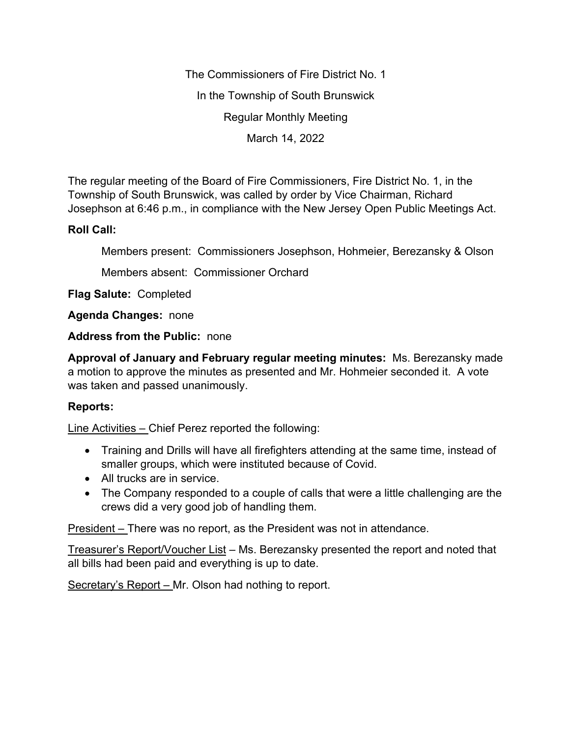The Commissioners of Fire District No. 1 In the Township of South Brunswick Regular Monthly Meeting March 14, 2022

The regular meeting of the Board of Fire Commissioners, Fire District No. 1, in the Township of South Brunswick, was called by order by Vice Chairman, Richard Josephson at 6:46 p.m., in compliance with the New Jersey Open Public Meetings Act.

## **Roll Call:**

Members present: Commissioners Josephson, Hohmeier, Berezansky & Olson

Members absent: Commissioner Orchard

**Flag Salute:** Completed

**Agenda Changes:** none

**Address from the Public:** none

**Approval of January and February regular meeting minutes:** Ms. Berezansky made a motion to approve the minutes as presented and Mr. Hohmeier seconded it. A vote was taken and passed unanimously.

## **Reports:**

Line Activities – Chief Perez reported the following:

- Training and Drills will have all firefighters attending at the same time, instead of smaller groups, which were instituted because of Covid.
- All trucks are in service.
- The Company responded to a couple of calls that were a little challenging are the crews did a very good job of handling them.

President – There was no report, as the President was not in attendance.

Treasurer's Report/Voucher List – Ms. Berezansky presented the report and noted that all bills had been paid and everything is up to date.

Secretary's Report – Mr. Olson had nothing to report.